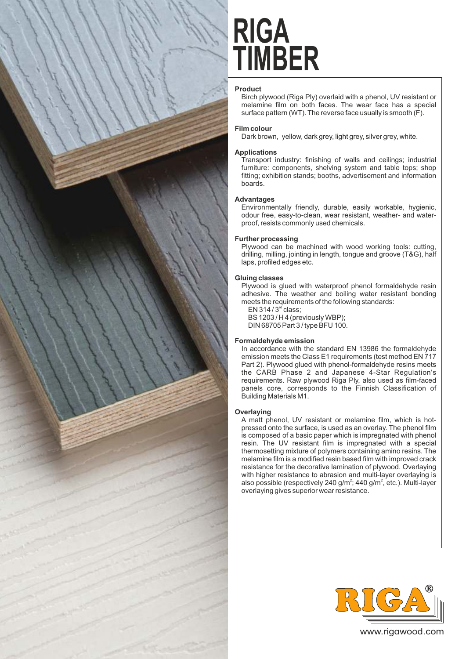

# **TIMBER RIGA**

# **Product**

Birch plywood (Riga Ply) overlaid with a phenol, UV resistant or melamine film on both faces. The wear face has a special surface pattern (WT). The reverse face usually is smooth (F).

# **Film colour**

Dark brown, yellow, dark grey, light grey, silver grey, white.

# **Applications**

Transport industry: finishing of walls and ceilings; industrial furniture: components, shelving system and table tops; shop fitting; exhibition stands; booths, advertisement and information boards.

# **Advantages**

Environmentally friendly, durable, easily workable, hygienic, odour free, easy-to-clean, wear resistant, weather- and waterproof, resists commonly used chemicals.

## **Further processing**

Plywood can be machined with wood working tools: cutting. drilling, milling, jointing in length, tongue and groove (T&G), half laps, profiled edges etc.

## **Gluing classes**

Plywood is glued with waterproof phenol formaldehyde resin adhesive. The weather and boiling water resistant bonding meets the requirements of the following standards:

EN 314 /  $3<sup>rd</sup>$  class; BS 1203 / H 4 (previously WBP); DIN 68705 Part 3 / type BFU 100.

## **Formaldehyde emission**

In accordance with the standard EN 13986 the formaldehyde emission meets the Class E1 requirements (test method EN 717 Part 2). Plywood glued with phenol-formaldehyde resins meets the CARB Phase 2 and Japanese 4-Star Regulation's requirements. Raw plywood Riga Ply, also used as film-faced panels core, corresponds to the Finnish Classification of Building Materials M1.

## **Overlaying**

A matt phenol, UV resistant or melamine film, which is hotpressed onto the surface, is used as an overlay. The phenol film is composed of a basic paper which is impregnated with phenol resin. The UV resistant film is impregnated with a special thermosetting mixture of polymers containing amino resins. The melamine film is a modified resin based film with improved crack resistance for the decorative lamination of plywood. Overlaying with higher resistance to abrasion and multi-layer overlaying is also possible (respectively 240 g/m<sup>2</sup>; 440 g/m<sup>2</sup>, etc.). Multi-layer overlaying gives superior wear resistance.



www.rigawood.com